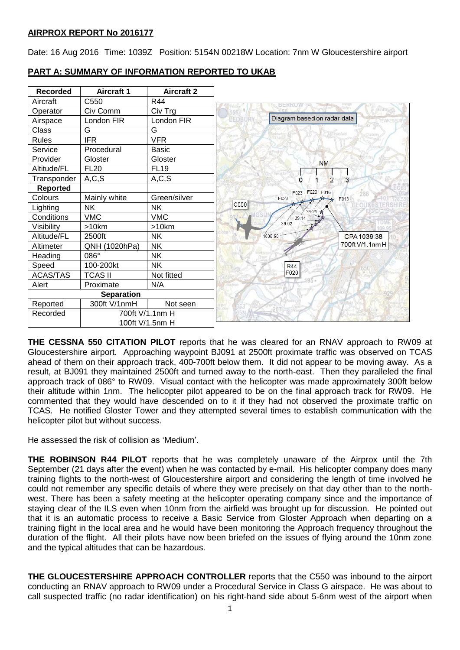Date: 16 Aug 2016 Time: 1039Z Position: 5154N 00218W Location: 7nm W Gloucestershire airport

| <b>Recorded</b>   | <b>Aircraft 1</b> | <b>Aircraft 2</b> |                                                               |
|-------------------|-------------------|-------------------|---------------------------------------------------------------|
| Aircraft          | C550              | <b>R44</b>        | BERKU                                                         |
| Operator          | Civ Comm          | Civ Trg           |                                                               |
| Airspace          | London FIR        | London FIR        | Diagram based on radar data<br><b>EDBURY</b><br><b>EWKESS</b> |
| Class             | G                 | G                 | LI Frented                                                    |
| <b>Rules</b>      | <b>IFR</b>        | <b>VFR</b>        |                                                               |
| Service           | Procedural        | <b>Basic</b>      |                                                               |
| Provider          | Gloster           | Gloster           | <b>NM</b>                                                     |
| Altitude/FL       | <b>FL20</b>       | <b>FL19</b>       |                                                               |
| Transponder       | A, C, S           | A, C, S           | $\overline{2}$<br>n<br>3                                      |
| <b>Reported</b>   |                   |                   | F020 F016<br>F023<br>288                                      |
| Colours           | Mainly white      | Green/silver      | F023<br>F013                                                  |
| Lighting          | <b>NK</b>         | <b>NK</b>         | C550<br>39:26                                                 |
| Conditions        | <b>VMC</b>        | <b>VMC</b>        | 39:14                                                         |
| Visibility        | >10km             | >10km             | 39:02                                                         |
| Altitude/FL       | 2500ft            | <b>NK</b>         | 1038:50<br>CPA 1039:38                                        |
| Altimeter         | QNH (1020hPa)     | <b>NK</b>         | 700ft V/1.1nm H                                               |
| Heading           | 086°              | <b>NK</b>         |                                                               |
| Speed             | 100-200kt         | <b>NK</b>         | <b>R44</b>                                                    |
| <b>ACAS/TAS</b>   | <b>TCAS II</b>    | Not fitted        | F020<br>195.                                                  |
| Alert             | Proximate         | N/A               |                                                               |
| <b>Separation</b> |                   |                   |                                                               |
| Reported          | 300ft V/1nmH      | Not seen          |                                                               |
| Recorded          | 700ft V/1.1nm H   |                   |                                                               |
|                   | 100ft V/1.5nm H   |                   |                                                               |

**PART A: SUMMARY OF INFORMATION REPORTED TO UKAB**

**THE CESSNA 550 CITATION PILOT** reports that he was cleared for an RNAV approach to RW09 at Gloucestershire airport. Approaching waypoint BJ091 at 2500ft proximate traffic was observed on TCAS ahead of them on their approach track, 400-700ft below them. It did not appear to be moving away. As a result, at BJ091 they maintained 2500ft and turned away to the north-east. Then they paralleled the final approach track of 086° to RW09. Visual contact with the helicopter was made approximately 300ft below their altitude within 1nm. The helicopter pilot appeared to be on the final approach track for RW09. He commented that they would have descended on to it if they had not observed the proximate traffic on TCAS. He notified Gloster Tower and they attempted several times to establish communication with the helicopter pilot but without success.

He assessed the risk of collision as 'Medium'.

**THE ROBINSON R44 PILOT** reports that he was completely unaware of the Airprox until the 7th September (21 days after the event) when he was contacted by e-mail. His helicopter company does many training flights to the north-west of Gloucestershire airport and considering the length of time involved he could not remember any specific details of where they were precisely on that day other than to the northwest. There has been a safety meeting at the helicopter operating company since and the importance of staying clear of the ILS even when 10nm from the airfield was brought up for discussion. He pointed out that it is an automatic process to receive a Basic Service from Gloster Approach when departing on a training flight in the local area and he would have been monitoring the Approach frequency throughout the duration of the flight. All their pilots have now been briefed on the issues of flying around the 10nm zone and the typical altitudes that can be hazardous.

**THE GLOUCESTERSHIRE APPROACH CONTROLLER** reports that the C550 was inbound to the airport conducting an RNAV approach to RW09 under a Procedural Service in Class G airspace. He was about to call suspected traffic (no radar identification) on his right-hand side about 5-6nm west of the airport when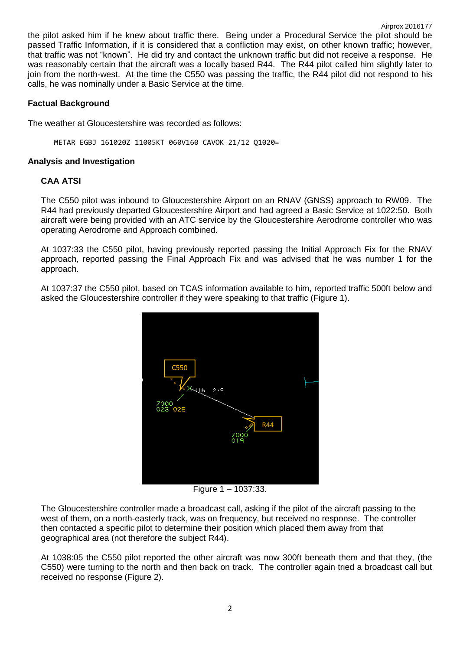the pilot asked him if he knew about traffic there. Being under a Procedural Service the pilot should be passed Traffic Information, if it is considered that a confliction may exist, on other known traffic; however, that traffic was not "known". He did try and contact the unknown traffic but did not receive a response. He was reasonably certain that the aircraft was a locally based R44. The R44 pilot called him slightly later to join from the north-west. At the time the C550 was passing the traffic, the R44 pilot did not respond to his calls, he was nominally under a Basic Service at the time.

## **Factual Background**

The weather at Gloucestershire was recorded as follows:

METAR EGBJ 161020Z 11005KT 060V160 CAVOK 21/12 Q1020=

## **Analysis and Investigation**

## **CAA ATSI**

The C550 pilot was inbound to Gloucestershire Airport on an RNAV (GNSS) approach to RW09. The R44 had previously departed Gloucestershire Airport and had agreed a Basic Service at 1022:50. Both aircraft were being provided with an ATC service by the Gloucestershire Aerodrome controller who was operating Aerodrome and Approach combined.

At 1037:33 the C550 pilot, having previously reported passing the Initial Approach Fix for the RNAV approach, reported passing the Final Approach Fix and was advised that he was number 1 for the approach.

At 1037:37 the C550 pilot, based on TCAS information available to him, reported traffic 500ft below and asked the Gloucestershire controller if they were speaking to that traffic (Figure 1).



Figure 1 – 1037:33.

The Gloucestershire controller made a broadcast call, asking if the pilot of the aircraft passing to the west of them, on a north-easterly track, was on frequency, but received no response. The controller then contacted a specific pilot to determine their position which placed them away from that geographical area (not therefore the subject R44).

At 1038:05 the C550 pilot reported the other aircraft was now 300ft beneath them and that they, (the C550) were turning to the north and then back on track. The controller again tried a broadcast call but received no response (Figure 2).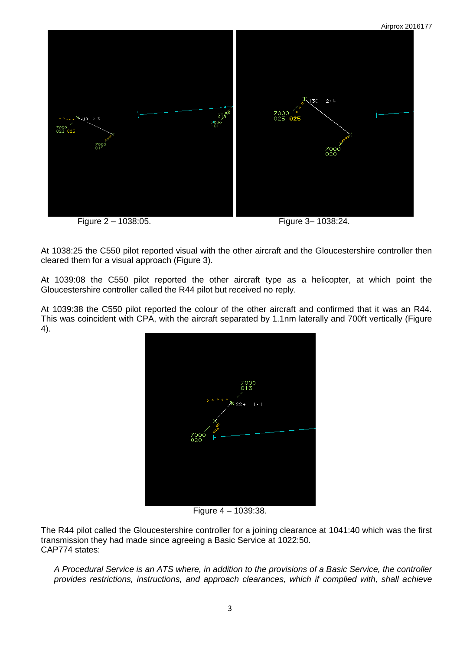

Figure 2 – 1038:05. Figure 3– 1038:24.

Airprox 2016177

At 1038:25 the C550 pilot reported visual with the other aircraft and the Gloucestershire controller then cleared them for a visual approach (Figure 3).

At 1039:08 the C550 pilot reported the other aircraft type as a helicopter, at which point the Gloucestershire controller called the R44 pilot but received no reply.

At 1039:38 the C550 pilot reported the colour of the other aircraft and confirmed that it was an R44. This was coincident with CPA, with the aircraft separated by 1.1nm laterally and 700ft vertically (Figure 4).



Figure 4 – 1039:38.

The R44 pilot called the Gloucestershire controller for a joining clearance at 1041:40 which was the first transmission they had made since agreeing a Basic Service at 1022:50. CAP774 states:

*A Procedural Service is an ATS where, in addition to the provisions of a Basic Service, the controller provides restrictions, instructions, and approach clearances, which if complied with, shall achieve*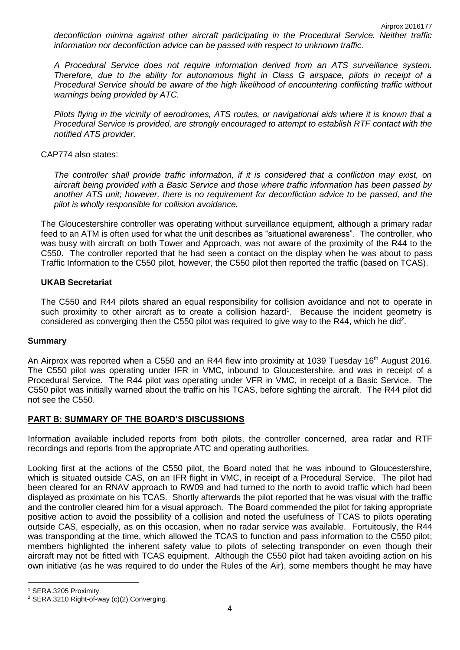*deconfliction minima against other aircraft participating in the Procedural Service. Neither traffic information nor deconfliction advice can be passed with respect to unknown traffic*.

*A Procedural Service does not require information derived from an ATS surveillance system. Therefore, due to the ability for autonomous flight in Class G airspace, pilots in receipt of a Procedural Service should be aware of the high likelihood of encountering conflicting traffic without warnings being provided by ATC.* 

*Pilots flying in the vicinity of aerodromes, ATS routes, or navigational aids where it is known that a Procedural Service is provided, are strongly encouraged to attempt to establish RTF contact with the notified ATS provider.*

## CAP774 also states:

*The controller shall provide traffic information, if it is considered that a confliction may exist, on aircraft being provided with a Basic Service and those where traffic information has been passed by another ATS unit; however, there is no requirement for deconfliction advice to be passed, and the pilot is wholly responsible for collision avoidance.* 

The Gloucestershire controller was operating without surveillance equipment, although a primary radar feed to an ATM is often used for what the unit describes as "situational awareness". The controller, who was busy with aircraft on both Tower and Approach, was not aware of the proximity of the R44 to the C550. The controller reported that he had seen a contact on the display when he was about to pass Traffic Information to the C550 pilot, however, the C550 pilot then reported the traffic (based on TCAS).

## **UKAB Secretariat**

The C550 and R44 pilots shared an equal responsibility for collision avoidance and not to operate in such proximity to other aircraft as to create a collision hazard<sup>1</sup>. Because the incident geometry is considered as converging then the C550 pilot was required to give way to the R44, which he did<sup>2</sup>.

### **Summary**

An Airprox was reported when a C550 and an R44 flew into proximity at 1039 Tuesday 16<sup>th</sup> August 2016. The C550 pilot was operating under IFR in VMC, inbound to Gloucestershire, and was in receipt of a Procedural Service. The R44 pilot was operating under VFR in VMC, in receipt of a Basic Service. The C550 pilot was initially warned about the traffic on his TCAS, before sighting the aircraft. The R44 pilot did not see the C550.

## **PART B: SUMMARY OF THE BOARD'S DISCUSSIONS**

Information available included reports from both pilots, the controller concerned, area radar and RTF recordings and reports from the appropriate ATC and operating authorities.

Looking first at the actions of the C550 pilot, the Board noted that he was inbound to Gloucestershire, which is situated outside CAS, on an IFR flight in VMC, in receipt of a Procedural Service. The pilot had been cleared for an RNAV approach to RW09 and had turned to the north to avoid traffic which had been displayed as proximate on his TCAS. Shortly afterwards the pilot reported that he was visual with the traffic and the controller cleared him for a visual approach. The Board commended the pilot for taking appropriate positive action to avoid the possibility of a collision and noted the usefulness of TCAS to pilots operating outside CAS, especially, as on this occasion, when no radar service was available. Fortuitously, the R44 was transponding at the time, which allowed the TCAS to function and pass information to the C550 pilot; members highlighted the inherent safety value to pilots of selecting transponder on even though their aircraft may not be fitted with TCAS equipment. Although the C550 pilot had taken avoiding action on his own initiative (as he was required to do under the Rules of the Air), some members thought he may have

**.** 

<sup>1</sup> SERA.3205 Proximity.

<sup>2</sup> SERA.3210 Right-of-way (c)(2) Converging.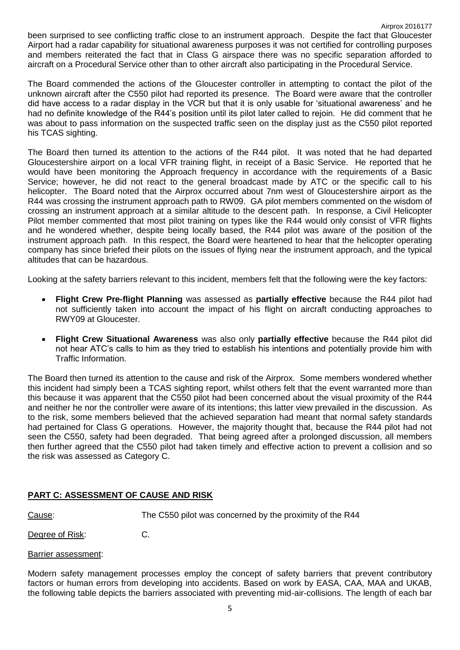The Board commended the actions of the Gloucester controller in attempting to contact the pilot of the unknown aircraft after the C550 pilot had reported its presence. The Board were aware that the controller did have access to a radar display in the VCR but that it is only usable for 'situational awareness' and he had no definite knowledge of the R44's position until its pilot later called to rejoin. He did comment that he was about to pass information on the suspected traffic seen on the display just as the C550 pilot reported his TCAS sighting.

The Board then turned its attention to the actions of the R44 pilot. It was noted that he had departed Gloucestershire airport on a local VFR training flight, in receipt of a Basic Service. He reported that he would have been monitoring the Approach frequency in accordance with the requirements of a Basic Service; however, he did not react to the general broadcast made by ATC or the specific call to his helicopter. The Board noted that the Airprox occurred about 7nm west of Gloucestershire airport as the R44 was crossing the instrument approach path to RW09. GA pilot members commented on the wisdom of crossing an instrument approach at a similar altitude to the descent path. In response, a Civil Helicopter Pilot member commented that most pilot training on types like the R44 would only consist of VFR flights and he wondered whether, despite being locally based, the R44 pilot was aware of the position of the instrument approach path. In this respect, the Board were heartened to hear that the helicopter operating company has since briefed their pilots on the issues of flying near the instrument approach, and the typical altitudes that can be hazardous.

Looking at the safety barriers relevant to this incident, members felt that the following were the key factors:

- **Flight Crew Pre-flight Planning** was assessed as **partially effective** because the R44 pilot had not sufficiently taken into account the impact of his flight on aircraft conducting approaches to RWY09 at Gloucester.
- **Flight Crew Situational Awareness** was also only **partially effective** because the R44 pilot did not hear ATC's calls to him as they tried to establish his intentions and potentially provide him with Traffic Information.

The Board then turned its attention to the cause and risk of the Airprox. Some members wondered whether this incident had simply been a TCAS sighting report, whilst others felt that the event warranted more than this because it was apparent that the C550 pilot had been concerned about the visual proximity of the R44 and neither he nor the controller were aware of its intentions; this latter view prevailed in the discussion. As to the risk, some members believed that the achieved separation had meant that normal safety standards had pertained for Class G operations. However, the majority thought that, because the R44 pilot had not seen the C550, safety had been degraded. That being agreed after a prolonged discussion, all members then further agreed that the C550 pilot had taken timely and effective action to prevent a collision and so the risk was assessed as Category C.

# **PART C: ASSESSMENT OF CAUSE AND RISK**

Cause: The C550 pilot was concerned by the proximity of the R44

Degree of Risk: C.

## Barrier assessment:

Modern safety management processes employ the concept of safety barriers that prevent contributory factors or human errors from developing into accidents. Based on work by EASA, CAA, MAA and UKAB, the following table depicts the barriers associated with preventing mid-air-collisions. The length of each bar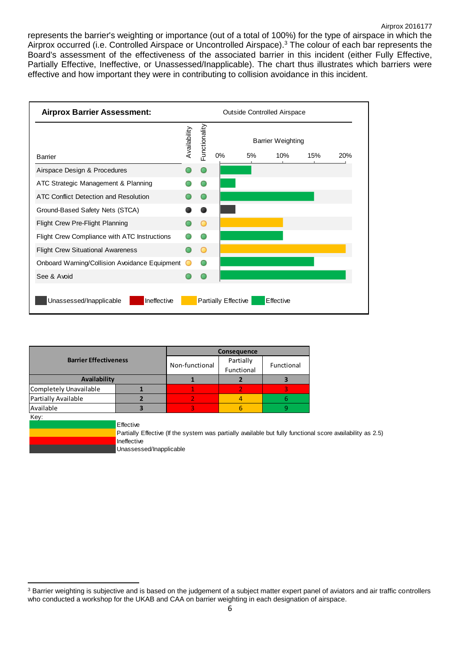represents the barrier's weighting or importance (out of a total of 100%) for the type of airspace in which the Airprox occurred (i.e. Controlled Airspace or Uncontrolled Airspace).<sup>3</sup> The colour of each bar represents the Board's assessment of the effectiveness of the associated barrier in this incident (either Fully Effective, Partially Effective, Ineffective, or Unassessed/Inapplicable). The chart thus illustrates which barriers were effective and how important they were in contributing to collision avoidance in this incident.



|                              | Consequence                                         |                         |                |   |                                                                                                            |
|------------------------------|-----------------------------------------------------|-------------------------|----------------|---|------------------------------------------------------------------------------------------------------------|
| <b>Barrier Effectiveness</b> | Non-functional                                      | Partially<br>Functional | Functional     |   |                                                                                                            |
| Availability                 |                                                     |                         |                |   |                                                                                                            |
| Completely Unavailable       |                                                     |                         |                |   |                                                                                                            |
| Partially Available          |                                                     |                         | $\overline{4}$ | 6 |                                                                                                            |
| Available                    |                                                     | 3                       | 6              | 9 |                                                                                                            |
| Key:                         |                                                     |                         |                |   |                                                                                                            |
|                              | Effective<br>Ineffective<br>Unassessed/Inapplicable |                         |                |   | Partially Effective (If the system was partially available but fully functional score availability as 2.5) |

**<sup>.</sup>** <sup>3</sup> Barrier weighting is subjective and is based on the judgement of a subject matter expert panel of aviators and air traffic controllers who conducted a workshop for the UKAB and CAA on barrier weighting in each designat